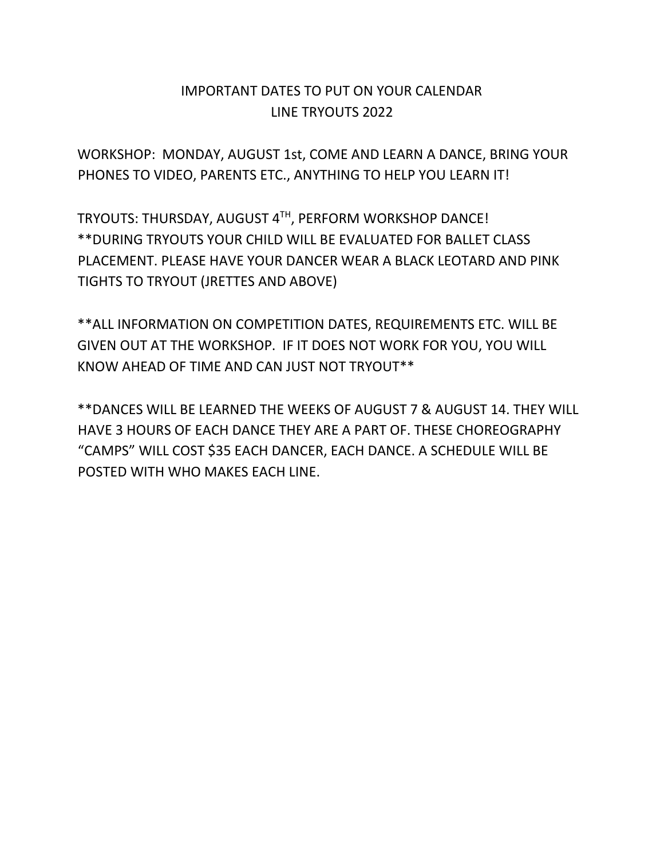## IMPORTANT DATES TO PUT ON YOUR CALENDAR LINE TRYOUTS 2022

WORKSHOP: MONDAY, AUGUST 1st, COME AND LEARN A DANCE, BRING YOUR PHONES TO VIDEO, PARENTS ETC., ANYTHING TO HELP YOU LEARN IT!

TRYOUTS: THURSDAY, AUGUST 4TH, PERFORM WORKSHOP DANCE! \*\*DURING TRYOUTS YOUR CHILD WILL BE EVALUATED FOR BALLET CLASS PLACEMENT. PLEASE HAVE YOUR DANCER WEAR A BLACK LEOTARD AND PINK TIGHTS TO TRYOUT (JRETTES AND ABOVE)

\*\*ALL INFORMATION ON COMPETITION DATES, REQUIREMENTS ETC. WILL BE GIVEN OUT AT THE WORKSHOP. IF IT DOES NOT WORK FOR YOU, YOU WILL KNOW AHEAD OF TIME AND CAN JUST NOT TRYOUT\*\*

\*\*DANCES WILL BE LEARNED THE WEEKS OF AUGUST 7 & AUGUST 14. THEY WILL HAVE 3 HOURS OF EACH DANCE THEY ARE A PART OF. THESE CHOREOGRAPHY "CAMPS" WILL COST \$35 EACH DANCER, EACH DANCE. A SCHEDULE WILL BE POSTED WITH WHO MAKES EACH LINE.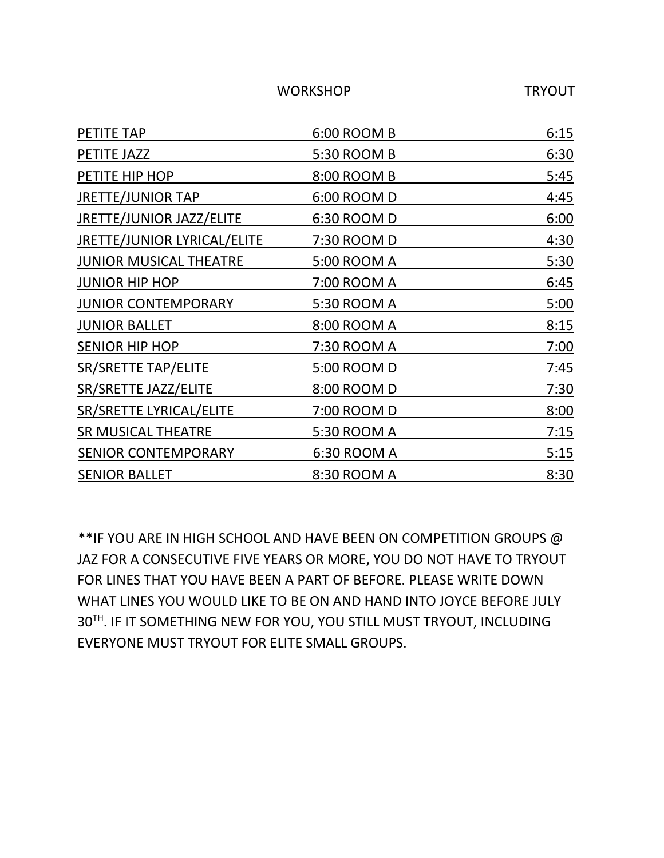WORKSHOP TRYOUT

| PETITE TAP                         | 6:00 ROOM B        | 6:15 |
|------------------------------------|--------------------|------|
| PETITE JAZZ                        | 5:30 ROOM B        | 6:30 |
| PETITE HIP HOP                     | 8:00 ROOM B        | 5:45 |
| <b>JRETTE/JUNIOR TAP</b>           | 6:00 ROOM D        | 4:45 |
| <b>JRETTE/JUNIOR JAZZ/ELITE</b>    | 6:30 ROOM D        | 6:00 |
| <b>JRETTE/JUNIOR LYRICAL/ELITE</b> | 7:30 ROOM D        | 4:30 |
| <b>JUNIOR MUSICAL THEATRE</b>      | 5:00 ROOM A        | 5:30 |
| <b>JUNIOR HIP HOP</b>              | 7:00 ROOM A        | 6:45 |
| <b>JUNIOR CONTEMPORARY</b>         | 5:30 ROOM A        | 5:00 |
| <b>JUNIOR BALLET</b>               | 8:00 ROOM A        | 8:15 |
| <b>SENIOR HIP HOP</b>              | 7:30 ROOM A        | 7:00 |
| <b>SR/SRETTE TAP/ELITE</b>         | 5:00 ROOM D        | 7:45 |
| SR/SRETTE JAZZ/ELITE               | 8:00 ROOM D        | 7:30 |
| SR/SRETTE LYRICAL/ELITE            | 7:00 ROOM D        | 8:00 |
| <b>SR MUSICAL THEATRE</b>          | 5:30 ROOM A        | 7:15 |
| <b>SENIOR CONTEMPORARY</b>         | <u>6:30 ROOM A</u> | 5:15 |
| <b>SENIOR BALLET</b>               | 8:30 ROOM A        | 8:30 |

\*\*IF YOU ARE IN HIGH SCHOOL AND HAVE BEEN ON COMPETITION GROUPS @ JAZ FOR A CONSECUTIVE FIVE YEARS OR MORE, YOU DO NOT HAVE TO TRYOUT FOR LINES THAT YOU HAVE BEEN A PART OF BEFORE. PLEASE WRITE DOWN WHAT LINES YOU WOULD LIKE TO BE ON AND HAND INTO JOYCE BEFORE JULY 30TH . IF IT SOMETHING NEW FOR YOU, YOU STILL MUST TRYOUT, INCLUDING EVERYONE MUST TRYOUT FOR ELITE SMALL GROUPS.